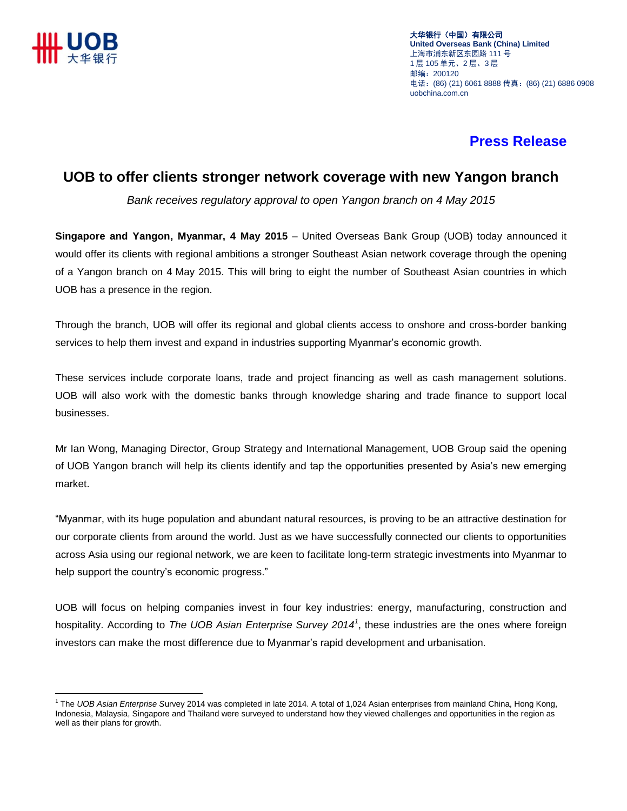

 $\overline{a}$ 

## **Press Release**

## **UOB to offer clients stronger network coverage with new Yangon branch**

*Bank receives regulatory approval to open Yangon branch on 4 May 2015*

**Singapore and Yangon, Myanmar, 4 May 2015** – United Overseas Bank Group (UOB) today announced it would offer its clients with regional ambitions a stronger Southeast Asian network coverage through the opening of a Yangon branch on 4 May 2015. This will bring to eight the number of Southeast Asian countries in which UOB has a presence in the region.

Through the branch, UOB will offer its regional and global clients access to onshore and cross-border banking services to help them invest and expand in industries supporting Myanmar's economic growth.

These services include corporate loans, trade and project financing as well as cash management solutions. UOB will also work with the domestic banks through knowledge sharing and trade finance to support local businesses.

Mr Ian Wong, Managing Director, Group Strategy and International Management, UOB Group said the opening of UOB Yangon branch will help its clients identify and tap the opportunities presented by Asia's new emerging market.

"Myanmar, with its huge population and abundant natural resources, is proving to be an attractive destination for our corporate clients from around the world. Just as we have successfully connected our clients to opportunities across Asia using our regional network, we are keen to facilitate long-term strategic investments into Myanmar to help support the country's economic progress."

UOB will focus on helping companies invest in four key industries: energy, manufacturing, construction and hospitality. According to *The UOB Asian Enterprise Survey 2014<sup>1</sup>* , these industries are the ones where foreign investors can make the most difference due to Myanmar's rapid development and urbanisation.

<sup>&</sup>lt;sup>1</sup> The *UOB Asian Enterprise S*urvey 2014 was completed in late 2014. A total of 1,024 Asian enterprises from mainland China, Hong Kong, Indonesia, Malaysia, Singapore and Thailand were surveyed to understand how they viewed challenges and opportunities in the region as well as their plans for growth.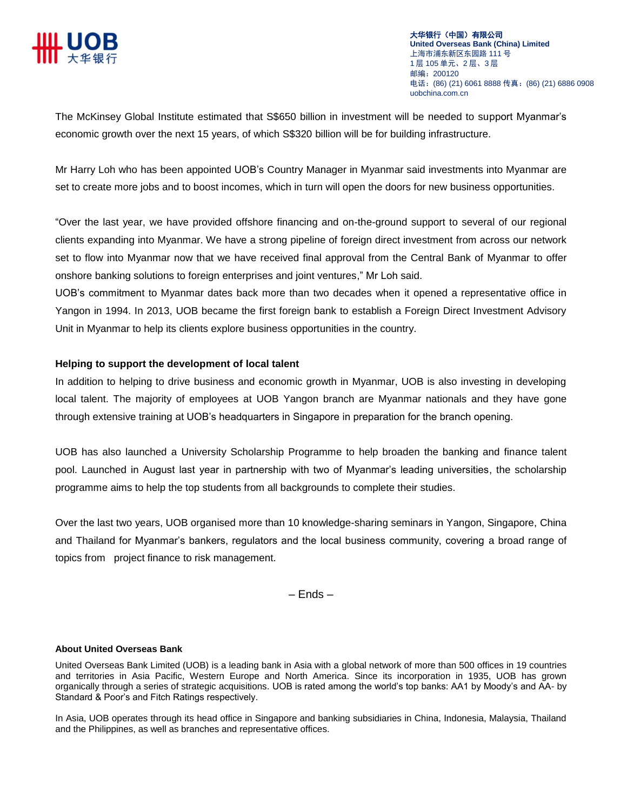

大华银行(中国)有限公司 **United Overseas Bank (China) Limited** 上海市浦东新区东园路 111 号 1 层 105 单元、2 层、3 层 邮编:200120 电话:(86) (21) 6061 8888 传真:(86) (21) 6886 0908 uobchina.com.cn

The McKinsey Global Institute estimated that S\$650 billion in investment will be needed to support Myanmar's economic growth over the next 15 years, of which S\$320 billion will be for building infrastructure.

Mr Harry Loh who has been appointed UOB's Country Manager in Myanmar said investments into Myanmar are set to create more jobs and to boost incomes, which in turn will open the doors for new business opportunities.

"Over the last year, we have provided offshore financing and on-the-ground support to several of our regional clients expanding into Myanmar. We have a strong pipeline of foreign direct investment from across our network set to flow into Myanmar now that we have received final approval from the Central Bank of Myanmar to offer onshore banking solutions to foreign enterprises and joint ventures," Mr Loh said.

UOB's commitment to Myanmar dates back more than two decades when it opened a representative office in Yangon in 1994. In 2013, UOB became the first foreign bank to establish a Foreign Direct Investment Advisory Unit in Myanmar to help its clients explore business opportunities in the country.

## **Helping to support the development of local talent**

In addition to helping to drive business and economic growth in Myanmar, UOB is also investing in developing local talent. The majority of employees at UOB Yangon branch are Myanmar nationals and they have gone through extensive training at UOB's headquarters in Singapore in preparation for the branch opening.

UOB has also launched a University Scholarship Programme to help broaden the banking and finance talent pool. Launched in August last year in partnership with two of Myanmar's leading universities, the scholarship programme aims to help the top students from all backgrounds to complete their studies.

Over the last two years, UOB organised more than 10 knowledge-sharing seminars in Yangon, Singapore, China and Thailand for Myanmar's bankers, regulators and the local business community, covering a broad range of topics from project finance to risk management.

– Ends –

## **About United Overseas Bank**

United Overseas Bank Limited (UOB) is a leading bank in Asia with a global network of more than 500 offices in 19 countries and territories in Asia Pacific, Western Europe and North America. Since its incorporation in 1935, UOB has grown organically through a series of strategic acquisitions. UOB is rated among the world's top banks: AA1 by Moody's and AA- by Standard & Poor's and Fitch Ratings respectively.

In Asia, UOB operates through its head office in Singapore and banking subsidiaries in China, Indonesia, Malaysia, Thailand and the Philippines, as well as branches and representative offices.